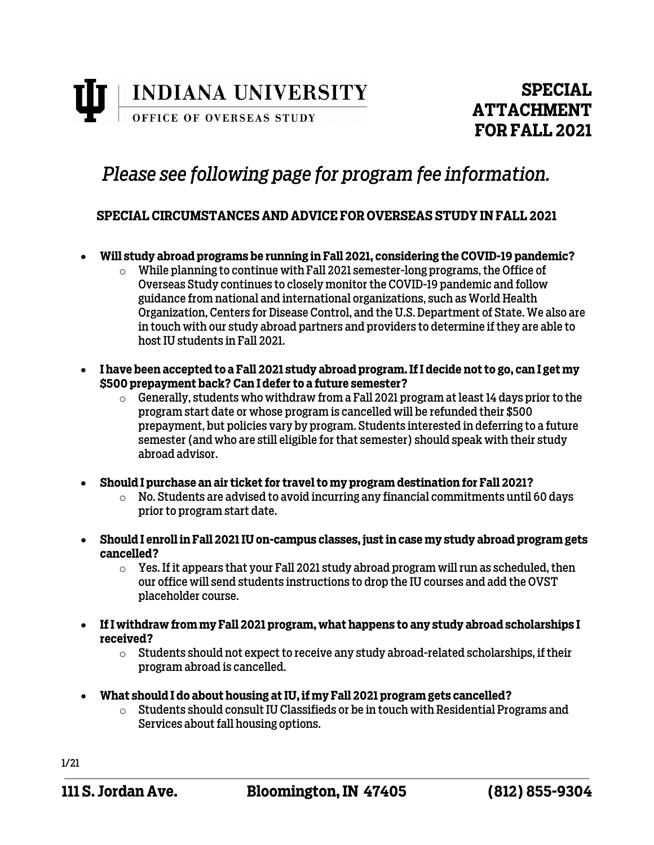

# *Please see following page for program fee information.*

### **SPECIAL CIRCUMSTANCES AND ADVICE FOR OVERSEAS STUDY IN FALL 2021**

- **Will study abroad programs be running in Fall 2021, considering the COVID-19 pandemic?** 
	- $\circ$  While planning to continue with Fall 2021 semester-long programs, the Office of Overseas Study continues to closely monitor the COVID-19 pandemic and follow guidance from national and international organizations, such as World Health Organization, Centers for Disease Control, and the U.S. Department of State. We also are in touch with our study abroad partners and providers to determine if they are able to host IU students in Fall 2021.
- **I have been accepted to a Fall 2021 study abroad program. If I decide not to go, can I get my \$500 prepayment back? Can I defer to a future semester?**
	- $\circ$  Generally, students who withdraw from a Fall 2021 program at least 14 days prior to the program start date or whose program is cancelled will be refunded their \$500 prepayment, but policies vary by program. Students interested in deferring to a future semester (and who are still eligible for that semester) should speak with their study abroad advisor.
- **Should I purchase an air ticket for travel to my program destination for Fall 2021?**
	- $\circ$  No. Students are advised to avoid incurring any financial commitments until 60 days prior to program start date.
- **Should I enroll in Fall 2021 IU on-campus classes, just in case my study abroad program gets cancelled?**
	- $\circ$  Yes. If it appears that your Fall 2021 study abroad program will run as scheduled, then our office will send students instructions to drop the IU courses and add the OVST placeholder course.
- **If I withdraw from my Fall 2021 program, what happens to any study abroad scholarships I received?**
	- $\circ$  Students should not expect to receive any study abroad-related scholarships, if their program abroad is cancelled.
- **What should I do about housing at IU, if my Fall 2021 program gets cancelled?**
	- o Students should consult IU Classifieds or be in touch with Residential Programs and Services about fall housing options.